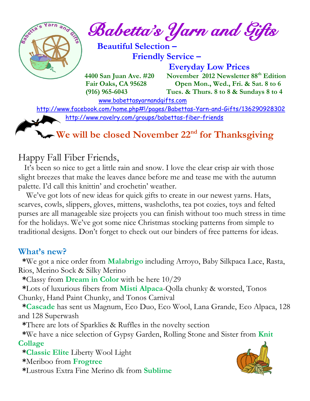

*Babetta's Yarn and Gifts* 

 **Beautiful Selection – Friendly Service –**

 **Everyday Low Prices**

 **4400 San Juan Ave. #20 November 2012 Newsletter 88<sup>th</sup> Edition Fair Oaks, CA 95628 Open Mon., Wed., Fri. & Sat. 8 to 6 (916) 965-6043 Tues. & Thurs. 8 to 8 & Sundays 8 to 4** 

[www.babettasyarnandgifts.com](http://www.babettasyarnandgifts.com/)

 <http://www.facebook.com/home.php#!/pages/Babettas-Yarn-and-Gifts/136290928302> <http://www.ravelry.com/groups/babettas-fiber-friends>

## **We will be closed November 22nd for Thanksgiving**

#### Happy Fall Fiber Friends,

 It's been so nice to get a little rain and snow. I love the clear crisp air with those slight breezes that make the leaves dance before me and tease me with the autumn palette. I'd call this knittin' and crochetin' weather.

We've got lots of new ideas for quick gifts to create in our newest yarns. Hats, scarves, cowls, slippers, gloves, mittens, washcloths, tea pot cozies, toys and felted purses are all manageable size projects you can finish without too much stress in time for the holidays. We've got some nice Christmas stocking patterns from simple to traditional designs. Don't forget to check out our binders of free patterns for ideas.

#### **What's new?**

 **\***We got a nice order from **Malabrigo** including Arroyo, Baby Silkpaca Lace, Rasta, Rios, Merino Sock & Silky Merino

**\***Classy from **Dream in Color** with be here 10/29

 **\***Lots of luxurious fibers from **Misti Alpaca**-Qolla chunky & worsted, Tonos Chunky, Hand Paint Chunky, and Tonos Carnival

 **\*Cascade** has sent us Magnum, Eco Duo, Eco Wool, Lana Grande, Eco Alpaca, 128 and 128 Superwash

**\***There are lots of Sparklies & Ruffles in the novelty section

 **\***We have a nice selection of Gypsy Garden, Rolling Stone and Sister from **Knit Collage**

**\*Classic Elite** Liberty Wool Light

**\***Meriboo from **Frogtree**

**\***Lustrous Extra Fine Merino dk from **Sublime** 

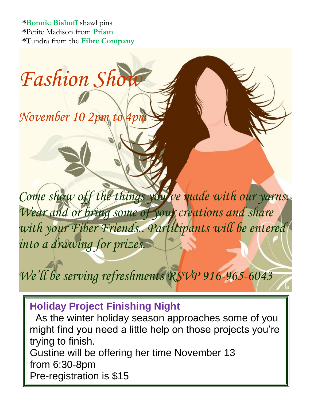**\*Bonnie Bishoff** shawl pins **\***Petite Madison from **Prism \***Tundra from the **Fibre Company**

# *Fashion Show*

*November 10 2pm to 4pm*

*Come show off the things you've made with our yarns.*  Wear and or bring some of your creations and share *with your Fiber Friends.. Participants will be entered into a drawing for prizes.*

*We'll be serving refreshments RSVP 916-965-6043*

### **Holiday Project Finishing Night**

 As the winter holiday season approaches some of you might find you need a little help on those projects you're trying to finish. Gustine will be offering her time November 13 from 6:30-8pm Pre-registration is \$15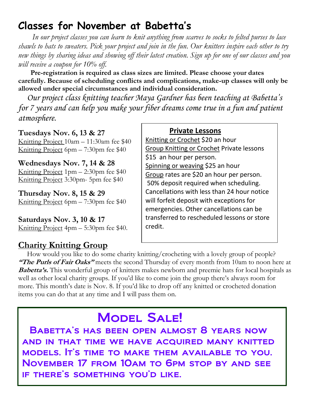# **Classes for November at Babetta's**

 *In our project classes you can learn to knit anything from scarves to socks to felted purses to lace shawls to hats to sweaters. Pick your project and join in the fun. Our knitters inspire each other to try new things by sharing ideas and showing off their latest creation. Sign up for one of our classes and you will receive a coupon for 10% off.*

 **Pre-registration is required as class sizes are limited. Please choose your dates carefully. Because of scheduling conflicts and complications, make-up classes will only be allowed under special circumstances and individual consideration.**

*Our project class knitting teacher Maya Gardner has been teaching at Babetta's for 7 years and can help you make your fiber dreams come true in a fun and patient atmosphere.*

**Tuesdays Nov. 6, 13 & 27** Knitting Project 10am – 11:30am fee \$40 Knitting Project 6pm – 7:30pm fee \$40

**Wednesdays Nov. 7, 14 & 28** Knitting Project 1pm – 2:30pm fee \$40 Knitting Project 3:30pm- 5pm fee \$40

**Thursday Nov. 8, 15 & 29** Knitting Project 6pm – 7:30pm fee \$40

**Saturdays Nov. 3, 10 & 17** Knitting Project 4pm – 5:30pm fee \$40.

#### **Charity Knitting Group**

#### **Private Lessons**

Knitting or Crochet \$20 an hour Group Knitting or Crochet Private lessons \$15 an hour per person. Spinning or weaving \$25 an hour Group rates are \$20 an hour per person. 50% deposit required when scheduling. Cancellations with less than 24 hour notice will forfeit deposit with exceptions for emergencies. Other cancellations can be transferred to rescheduled lessons or store credit.

 How would you like to do some charity knitting/crocheting with a lovely group of people? **"The Purls of Fair Oaks"** meets the second Thursday of every month from 10am to noon here at **Babetta's.** This wonderful group of knitters makes newborn and preemie hats for local hospitals as well as other local charity groups. If you'd like to come join the group there's always room for more. This month's date is Nov. 8. If you'd like to drop off any knitted or crocheted donation items you can do that at any time and I will pass them on.

# **MODEL SALE!**

 Babetta's has been open almost 8 years now and in that time we have acquired many knitted models. It's time to make them available to you. November 17 from 10am to 6pm stop by and see if there's something you'd like.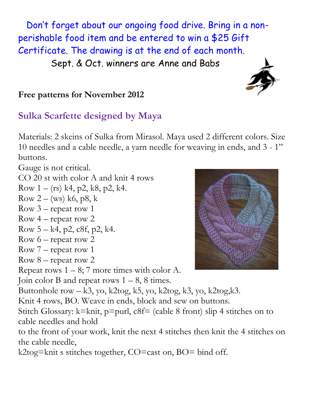Don't forget about our ongoing food drive. Bring in a nonperishable food item and be entered to win a \$25 Gift Certificate. The drawing is at the end of each month.

Sept. & Oct. winners are Anne and Babs

#### **Free patterns for November 2012**

# **Sulka Scarfette designed by Maya**

Materials: 2 skeins of Sulka from Mirasol. Maya used 2 different colors. Size 10 needles and a cable needle, a yarn needle for weaving in ends, and 3 - 1" buttons.

Gauge is not critical.

- CO 20 st with color A and knit 4 rows
- Row  $1 (rs)$  k4, p2, k8, p2, k4.
- Row  $2 (ws)$  k6, p8, k
- Row 3 repeat row 1
- Row 4 repeat row 2
- Row  $5 k4$ , p2, c8f, p2, k4.
- Row 6 repeat row 2
- Row 7 repeat row 1
- Row 8 repeat row 2
- Repeat rows  $1 8$ ; 7 more times with color A.

Join color B and repeat rows  $1 - 8$ , 8 times.

Buttonhole row – k3, yo, k2tog, k5, yo, k2tog, k3, yo, k2tog,k3.

Knit 4 rows, BO. Weave in ends, block and sew on buttons.

Stitch Glossary: k=knit, p=purl, c8f= (cable 8 front) slip 4 stitches on to cable needles and hold

to the front of your work, knit the next 4 stitches then knit the 4 stitches on the cable needle,

k2tog=knit s stitches together, CO=cast on, BO= bind off.